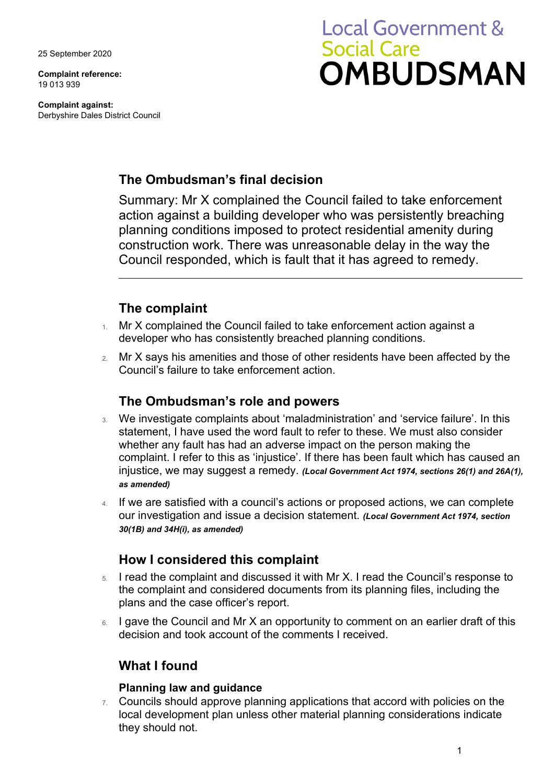25 September 2020

**Complaint reference:**  19 013 939

**Complaint against:** Derbyshire Dales District Council

# **Local Government & Social Care OMBUDSMAN**

## **The Ombudsman's final decision**

Summary: Mr X complained the Council failed to take enforcement action against a building developer who was persistently breaching planning conditions imposed to protect residential amenity during construction work. There was unreasonable delay in the way the Council responded, which is fault that it has agreed to remedy.

## **The complaint**

- 1. Mr X complained the Council failed to take enforcement action against a developer who has consistently breached planning conditions.
- 2. Mr X says his amenities and those of other residents have been affected by the Council's failure to take enforcement action.

## **The Ombudsman's role and powers**

- 3. We investigate complaints about 'maladministration' and 'service failure'. In this statement, I have used the word fault to refer to these. We must also consider whether any fault has had an adverse impact on the person making the complaint. I refer to this as 'injustice'. If there has been fault which has caused an injustice, we may suggest a remedy. *(Local Government Act 1974, sections 26(1) and 26A(1), as amended)*
- 4. If we are satisfied with a council's actions or proposed actions, we can complete our investigation and issue a decision statement. *(Local Government Act 1974, section 30(1B) and 34H(i), as amended)*

## **How I considered this complaint**

- 5. I read the complaint and discussed it with Mr X. I read the Council's response to the complaint and considered documents from its planning files, including the plans and the case officer's report.
- 6. I gave the Council and Mr X an opportunity to comment on an earlier draft of this decision and took account of the comments I received.

## **What I found**

#### **Planning law and guidance**

7. Councils should approve planning applications that accord with policies on the local development plan unless other material planning considerations indicate they should not.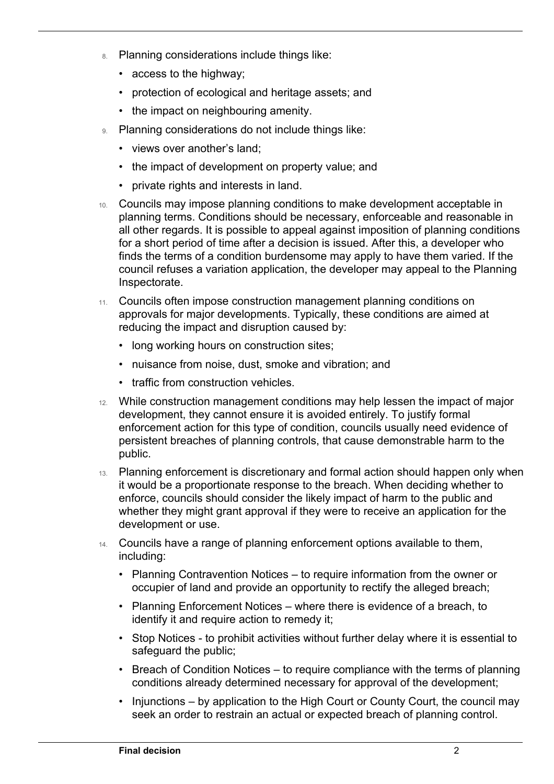- 8. Planning considerations include things like:
	- access to the highway;

 $\overline{a}$ 

- protection of ecological and heritage assets; and
- the impact on neighbouring amenity.
- 9. Planning considerations do not include things like:
	- views over another's land;
	- the impact of development on property value; and
	- private rights and interests in land.
- 10. Councils may impose planning conditions to make development acceptable in planning terms. Conditions should be necessary, enforceable and reasonable in all other regards. It is possible to appeal against imposition of planning conditions for a short period of time after a decision is issued. After this, a developer who finds the terms of a condition burdensome may apply to have them varied. If the council refuses a variation application, the developer may appeal to the Planning Inspectorate.
- 11. Councils often impose construction management planning conditions on approvals for major developments. Typically, these conditions are aimed at reducing the impact and disruption caused by:
	- long working hours on construction sites;
	- nuisance from noise, dust, smoke and vibration; and
	- traffic from construction vehicles.
- 12. While construction management conditions may help lessen the impact of major development, they cannot ensure it is avoided entirely. To justify formal enforcement action for this type of condition, councils usually need evidence of persistent breaches of planning controls, that cause demonstrable harm to the public.
- 13. Planning enforcement is discretionary and formal action should happen only when it would be a proportionate response to the breach. When deciding whether to enforce, councils should consider the likely impact of harm to the public and whether they might grant approval if they were to receive an application for the development or use.
- 14. Councils have a range of planning enforcement options available to them, including:
	- Planning Contravention Notices to require information from the owner or occupier of land and provide an opportunity to rectify the alleged breach;
	- Planning Enforcement Notices where there is evidence of a breach, to identify it and require action to remedy it;
	- Stop Notices to prohibit activities without further delay where it is essential to safeguard the public;
	- Breach of Condition Notices to require compliance with the terms of planning conditions already determined necessary for approval of the development;
	- Injunctions by application to the High Court or County Court, the council may seek an order to restrain an actual or expected breach of planning control.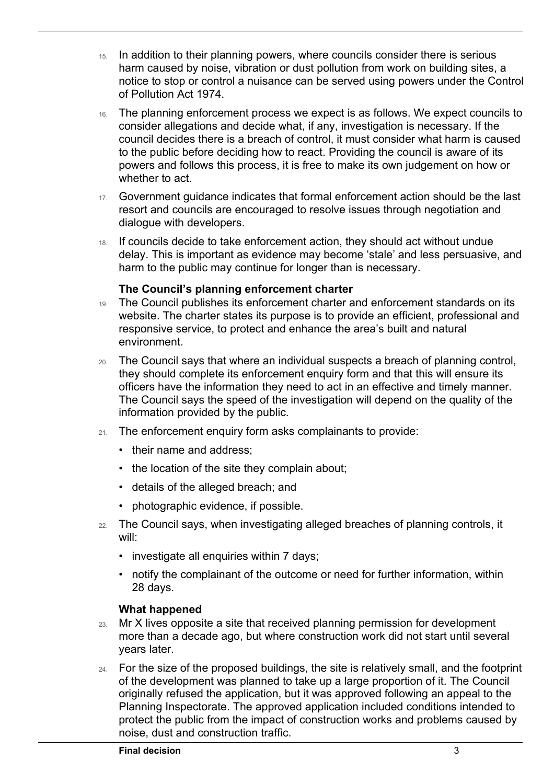- 15. In addition to their planning powers, where councils consider there is serious harm caused by noise, vibration or dust pollution from work on building sites, a notice to stop or control a nuisance can be served using powers under the Control of Pollution Act 1974.
- 16. The planning enforcement process we expect is as follows. We expect councils to consider allegations and decide what, if any, investigation is necessary. If the council decides there is a breach of control, it must consider what harm is caused to the public before deciding how to react. Providing the council is aware of its powers and follows this process, it is free to make its own judgement on how or whether to act.
- 17. Government guidance indicates that formal enforcement action should be the last resort and councils are encouraged to resolve issues through negotiation and dialogue with developers.
- 18. If councils decide to take enforcement action, they should act without undue delay. This is important as evidence may become 'stale' and less persuasive, and harm to the public may continue for longer than is necessary.

#### **The Council's planning enforcement charter**

- 19. The Council publishes its enforcement charter and enforcement standards on its website. The charter states its purpose is to provide an efficient, professional and responsive service, to protect and enhance the area's built and natural environment.
- 20. The Council says that where an individual suspects a breach of planning control, they should complete its enforcement enquiry form and that this will ensure its officers have the information they need to act in an effective and timely manner. The Council says the speed of the investigation will depend on the quality of the information provided by the public.
- 21. The enforcement enquiry form asks complainants to provide:
	- their name and address;

 $\overline{a}$ 

- the location of the site they complain about;
- details of the alleged breach; and
- photographic evidence, if possible.
- 22. The Council says, when investigating alleged breaches of planning controls, it will:
	- investigate all enquiries within 7 days;
	- notify the complainant of the outcome or need for further information, within 28 days.

#### **What happened**

- 23. Mr X lives opposite a site that received planning permission for development more than a decade ago, but where construction work did not start until several years later.
- 24. For the size of the proposed buildings, the site is relatively small, and the footprint of the development was planned to take up a large proportion of it. The Council originally refused the application, but it was approved following an appeal to the Planning Inspectorate. The approved application included conditions intended to protect the public from the impact of construction works and problems caused by noise, dust and construction traffic.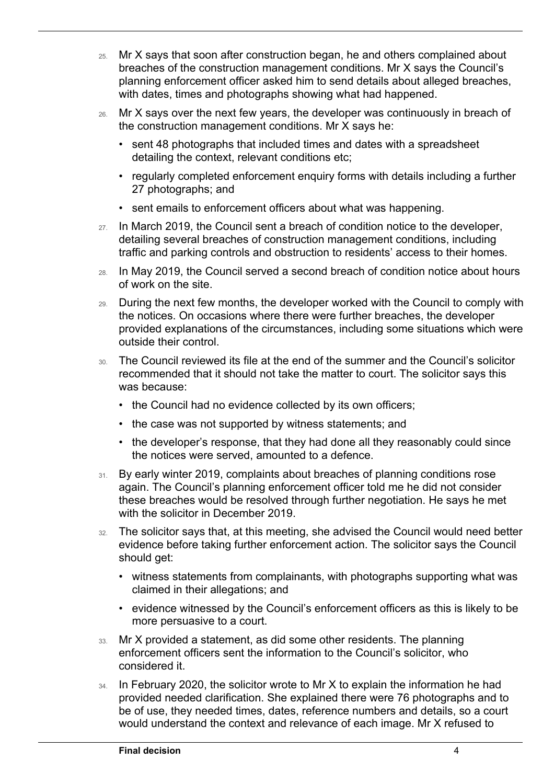- 25. Mr X says that soon after construction began, he and others complained about breaches of the construction management conditions. Mr X says the Council's planning enforcement officer asked him to send details about alleged breaches, with dates, times and photographs showing what had happened.
- 26. Mr X says over the next few years, the developer was continuously in breach of the construction management conditions. Mr X says he:
	- sent 48 photographs that included times and dates with a spreadsheet detailing the context, relevant conditions etc;
	- regularly completed enforcement enquiry forms with details including a further 27 photographs; and
	- sent emails to enforcement officers about what was happening.
- 27. In March 2019, the Council sent a breach of condition notice to the developer, detailing several breaches of construction management conditions, including traffic and parking controls and obstruction to residents' access to their homes.
- 28. In May 2019, the Council served a second breach of condition notice about hours of work on the site.
- 29. During the next few months, the developer worked with the Council to comply with the notices. On occasions where there were further breaches, the developer provided explanations of the circumstances, including some situations which were outside their control.
- 30. The Council reviewed its file at the end of the summer and the Council's solicitor recommended that it should not take the matter to court. The solicitor says this was because:
	- the Council had no evidence collected by its own officers;
	- the case was not supported by witness statements; and
	- the developer's response, that they had done all they reasonably could since the notices were served, amounted to a defence.
- 31. By early winter 2019, complaints about breaches of planning conditions rose again. The Council's planning enforcement officer told me he did not consider these breaches would be resolved through further negotiation. He says he met with the solicitor in December 2019.
- 32. The solicitor says that, at this meeting, she advised the Council would need better evidence before taking further enforcement action. The solicitor says the Council should get:
	- witness statements from complainants, with photographs supporting what was claimed in their allegations; and
	- evidence witnessed by the Council's enforcement officers as this is likely to be more persuasive to a court.
- 33. Mr X provided a statement, as did some other residents. The planning enforcement officers sent the information to the Council's solicitor, who considered it.
- 34. In February 2020, the solicitor wrote to Mr X to explain the information he had provided needed clarification. She explained there were 76 photographs and to be of use, they needed times, dates, reference numbers and details, so a court would understand the context and relevance of each image. Mr X refused to

 $\overline{a}$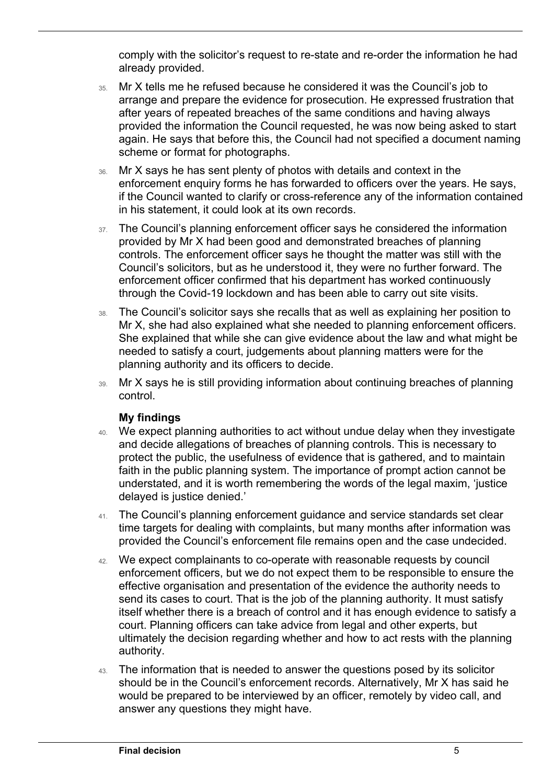comply with the solicitor's request to re-state and re-order the information he had already provided.

- 35. Mr X tells me he refused because he considered it was the Council's job to arrange and prepare the evidence for prosecution. He expressed frustration that after years of repeated breaches of the same conditions and having always provided the information the Council requested, he was now being asked to start again. He says that before this, the Council had not specified a document naming scheme or format for photographs.
- 36. Mr X says he has sent plenty of photos with details and context in the enforcement enquiry forms he has forwarded to officers over the years. He says, if the Council wanted to clarify or cross-reference any of the information contained in his statement, it could look at its own records.
- 37. The Council's planning enforcement officer says he considered the information provided by Mr X had been good and demonstrated breaches of planning controls. The enforcement officer says he thought the matter was still with the Council's solicitors, but as he understood it, they were no further forward. The enforcement officer confirmed that his department has worked continuously through the Covid-19 lockdown and has been able to carry out site visits.
- 38. The Council's solicitor says she recalls that as well as explaining her position to Mr X, she had also explained what she needed to planning enforcement officers. She explained that while she can give evidence about the law and what might be needed to satisfy a court, judgements about planning matters were for the planning authority and its officers to decide.
- 39. Mr X says he is still providing information about continuing breaches of planning control.

#### **My findings**

 $\overline{a}$ 

- 40. We expect planning authorities to act without undue delay when they investigate and decide allegations of breaches of planning controls. This is necessary to protect the public, the usefulness of evidence that is gathered, and to maintain faith in the public planning system. The importance of prompt action cannot be understated, and it is worth remembering the words of the legal maxim, 'justice delayed is justice denied.'
- 41. The Council's planning enforcement guidance and service standards set clear time targets for dealing with complaints, but many months after information was provided the Council's enforcement file remains open and the case undecided.
- 42. We expect complainants to co-operate with reasonable requests by council enforcement officers, but we do not expect them to be responsible to ensure the effective organisation and presentation of the evidence the authority needs to send its cases to court. That is the job of the planning authority. It must satisfy itself whether there is a breach of control and it has enough evidence to satisfy a court. Planning officers can take advice from legal and other experts, but ultimately the decision regarding whether and how to act rests with the planning authority.
- 43. The information that is needed to answer the questions posed by its solicitor should be in the Council's enforcement records. Alternatively, Mr X has said he would be prepared to be interviewed by an officer, remotely by video call, and answer any questions they might have.